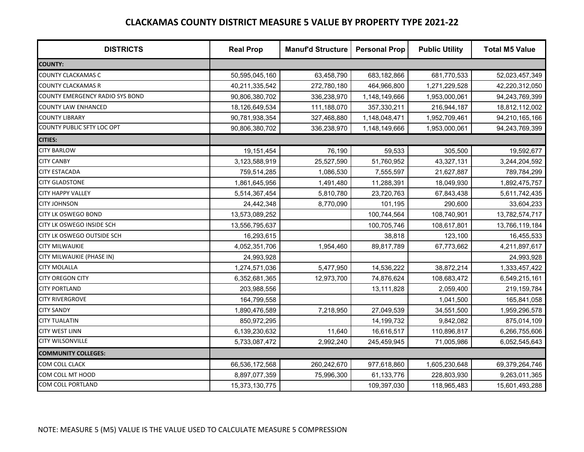| <b>DISTRICTS</b>                  | <b>Real Prop</b> | <b>Manuf'd Structure</b> | <b>Personal Prop</b> | <b>Public Utility</b> | <b>Total M5 Value</b> |
|-----------------------------------|------------------|--------------------------|----------------------|-----------------------|-----------------------|
| <b>COUNTY:</b>                    |                  |                          |                      |                       |                       |
| <b>COUNTY CLACKAMAS C</b>         | 50,595,045,160   | 63,458,790               | 683,182,866          | 681,770,533           | 52,023,457,349        |
| <b>COUNTY CLACKAMAS R</b>         | 40,211,335,542   | 272,780,180              | 464,966,800          | 1,271,229,528         | 42,220,312,050        |
| COUNTY EMERGENCY RADIO SYS BOND   | 90,806,380,702   | 336,238,970              | 1,148,149,666        | 1,953,000,061         | 94,243,769,399        |
| <b>COUNTY LAW ENHANCED</b>        | 18,126,649,534   | 111,188,070              | 357,330,211          | 216,944,187           | 18,812,112,002        |
| <b>COUNTY LIBRARY</b>             | 90,781,938,354   | 327,468,880              | 1,148,048,471        | 1,952,709,461         | 94,210,165,166        |
| <b>COUNTY PUBLIC SFTY LOC OPT</b> | 90,806,380,702   | 336,238,970              | 1,148,149,666        | 1,953,000,061         | 94,243,769,399        |
| <b>CITIES:</b>                    |                  |                          |                      |                       |                       |
| <b>CITY BARLOW</b>                | 19,151,454       | 76,190                   | 59,533               | 305,500               | 19,592,677            |
| <b>CITY CANBY</b>                 | 3,123,588,919    | 25,527,590               | 51,760,952           | 43,327,131            | 3,244,204,592         |
| <b>CITY ESTACADA</b>              | 759,514,285      | 1,086,530                | 7,555,597            | 21,627,887            | 789,784,299           |
| <b>CITY GLADSTONE</b>             | 1,861,645,956    | 1,491,480                | 11,288,391           | 18,049,930            | 1,892,475,757         |
| <b>CITY HAPPY VALLEY</b>          | 5,514,367,454    | 5,810,780                | 23,720,763           | 67,843,438            | 5,611,742,435         |
| <b>CITY JOHNSON</b>               | 24,442,348       | 8,770,090                | 101,195              | 290,600               | 33,604,233            |
| <b>CITY LK OSWEGO BOND</b>        | 13,573,089,252   |                          | 100,744,564          | 108,740,901           | 13,782,574,717        |
| CITY LK OSWEGO INSIDE SCH         | 13,556,795,637   |                          | 100,705,746          | 108,617,801           | 13,766,119,184        |
| <b>CITY LK OSWEGO OUTSIDE SCH</b> | 16,293,615       |                          | 38,818               | 123,100               | 16,455,533            |
| <b>CITY MILWAUKIE</b>             | 4,052,351,706    | 1,954,460                | 89,817,789           | 67,773,662            | 4,211,897,617         |
| CITY MILWAUKIE (PHASE IN)         | 24,993,928       |                          |                      |                       | 24,993,928            |
| <b>CITY MOLALLA</b>               | 1,274,571,036    | 5,477,950                | 14,536,222           | 38,872,214            | 1,333,457,422         |
| <b>CITY OREGON CITY</b>           | 6,352,681,365    | 12,973,700               | 74,876,624           | 108,683,472           | 6,549,215,161         |
| <b>CITY PORTLAND</b>              | 203,988,556      |                          | 13,111,828           | 2,059,400             | 219,159,784           |
| <b>CITY RIVERGROVE</b>            | 164,799,558      |                          |                      | 1,041,500             | 165,841,058           |
| <b>CITY SANDY</b>                 | 1,890,476,589    | 7,218,950                | 27,049,539           | 34,551,500            | 1,959,296,578         |
| <b>CITY TUALATIN</b>              | 850,972,295      |                          | 14,199,732           | 9,842,082             | 875,014,109           |
| <b>CITY WEST LINN</b>             | 6,139,230,632    | 11,640                   | 16,616,517           | 110,896,817           | 6,266,755,606         |
| <b>CITY WILSONVILLE</b>           | 5,733,087,472    | 2,992,240                | 245,459,945          | 71,005,986            | 6,052,545,643         |
| <b>COMMUNITY COLLEGES:</b>        |                  |                          |                      |                       |                       |
| <b>COM COLL CLACK</b>             | 66,536,172,568   | 260,242,670              | 977,618,860          | 1,605,230,648         | 69,379,264,746        |
| COM COLL MT HOOD                  | 8,897,077,359    | 75,996,300               | 61,133,776           | 228,803,930           | 9,263,011,365         |
| COM COLL PORTLAND                 | 15,373,130,775   |                          | 109,397,030          | 118,965,483           | 15,601,493,288        |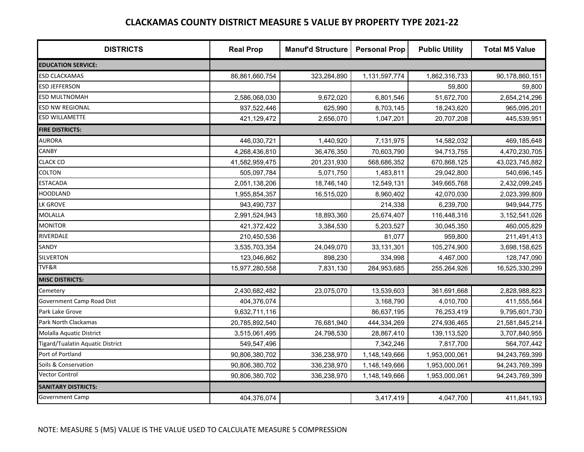| <b>DISTRICTS</b>                 | <b>Real Prop</b> | <b>Manuf'd Structure</b> | <b>Personal Prop</b> | <b>Public Utility</b> | <b>Total M5 Value</b> |
|----------------------------------|------------------|--------------------------|----------------------|-----------------------|-----------------------|
| <b>EDUCATION SERVICE:</b>        |                  |                          |                      |                       |                       |
| <b>ESD CLACKAMAS</b>             | 86,861,660,754   | 323,284,890              | 1,131,597,774        | 1,862,316,733         | 90,178,860,151        |
| <b>ESD JEFFERSON</b>             |                  |                          |                      | 59,800                | 59,800                |
| ESD MULTNOMAH                    | 2,586,068,030    | 9,672,020                | 6,801,546            | 51,672,700            | 2,654,214,296         |
| ESD NW REGIONAL                  | 937,522,446      | 625,990                  | 8,703,145            | 18,243,620            | 965,095,201           |
| ESD WILLAMETTE                   | 421,129,472      | 2,656,070                | 1,047,201            | 20,707,208            | 445,539,951           |
| <b>FIRE DISTRICTS:</b>           |                  |                          |                      |                       |                       |
| <b>AURORA</b>                    | 446,030,721      | 1,440,920                | 7,131,975            | 14,582,032            | 469,185,648           |
| CANBY                            | 4,268,436,810    | 36,476,350               | 70,603,790           | 94,713,755            | 4,470,230,705         |
| <b>CLACK CO</b>                  | 41,582,959,475   | 201,231,930              | 568,686,352          | 670,868,125           | 43,023,745,882        |
| <b>COLTON</b>                    | 505,097,784      | 5,071,750                | 1,483,811            | 29,042,800            | 540,696,145           |
| <b>ESTACADA</b>                  | 2,051,138,206    | 18,746,140               | 12,549,131           | 349,665,768           | 2,432,099,245         |
| <b>HOODLAND</b>                  | 1,955,854,357    | 16,515,020               | 8,960,402            | 42,070,030            | 2,023,399,809         |
| <b>LK GROVE</b>                  | 943,490,737      |                          | 214,338              | 6,239,700             | 949,944,775           |
| <b>MOLALLA</b>                   | 2,991,524,943    | 18,893,360               | 25,674,407           | 116,448,316           | 3, 152, 541, 026      |
| <b>MONITOR</b>                   | 421,372,422      | 3,384,530                | 5,203,527            | 30,045,350            | 460,005,829           |
| RIVERDALE                        | 210,450,536      |                          | 81,077               | 959,800               | 211,491,413           |
| SANDY                            | 3,535,703,354    | 24,049,070               | 33,131,301           | 105,274,900           | 3,698,158,625         |
| <b>SILVERTON</b>                 | 123,046,862      | 898,230                  | 334,998              | 4,467,000             | 128,747,090           |
| TVF&R                            | 15,977,280,558   | 7,831,130                | 284,953,685          | 255,264,926           | 16,525,330,299        |
| <b>MISC DISTRICTS:</b>           |                  |                          |                      |                       |                       |
| Cemetery                         | 2,430,682,482    | 23,075,070               | 13,539,603           | 361,691,668           | 2,828,988,823         |
| Government Camp Road Dist        | 404,376,074      |                          | 3,168,790            | 4,010,700             | 411,555,564           |
| Park Lake Grove                  | 9,632,711,116    |                          | 86,637,195           | 76,253,419            | 9,795,601,730         |
| Park North Clackamas             | 20,785,892,540   | 76,681,940               | 444,334,269          | 274,936,465           | 21,581,845,214        |
| Molalla Aquatic District         | 3,515,061,495    | 24,798,530               | 28,867,410           | 139,113,520           | 3,707,840,955         |
| Tigard/Tualatin Aquatic District | 549,547,496      |                          | 7,342,246            | 7,817,700             | 564,707,442           |
| Port of Portland                 | 90,806,380,702   | 336,238,970              | 1,148,149,666        | 1,953,000,061         | 94,243,769,399        |
| Soils & Conservation             | 90,806,380,702   | 336,238,970              | 1,148,149,666        | 1,953,000,061         | 94,243,769,399        |
| <b>Vector Control</b>            | 90,806,380,702   | 336,238,970              | 1,148,149,666        | 1,953,000,061         | 94,243,769,399        |
| <b>SANITARY DISTRICTS:</b>       |                  |                          |                      |                       |                       |
| <b>Government Camp</b>           | 404,376,074      |                          | 3,417,419            | 4,047,700             | 411,841,193           |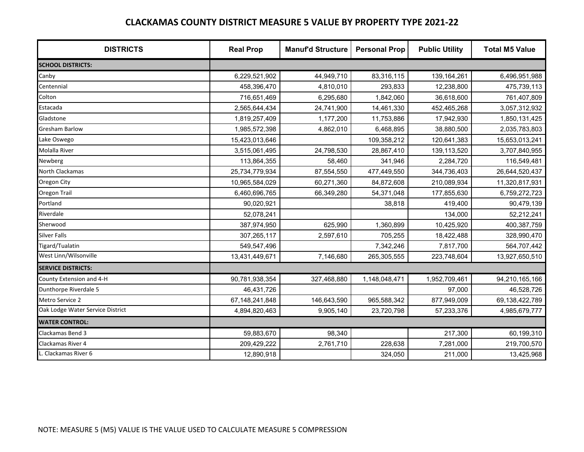| <b>DISTRICTS</b>                 | <b>Real Prop</b> | <b>Manuf'd Structure</b> | <b>Personal Prop</b> | <b>Public Utility</b> | <b>Total M5 Value</b> |
|----------------------------------|------------------|--------------------------|----------------------|-----------------------|-----------------------|
| <b>SCHOOL DISTRICTS:</b>         |                  |                          |                      |                       |                       |
| Canby                            | 6,229,521,902    | 44,949,710               | 83,316,115           | 139, 164, 261         | 6,496,951,988         |
| Centennial                       | 458,396,470      | 4,810,010                | 293,833              | 12,238,800            | 475,739,113           |
| Colton                           | 716,651,469      | 6,295,680                | 1,842,060            | 36,618,600            | 761,407,809           |
| Estacada                         | 2,565,644,434    | 24,741,900               | 14,461,330           | 452,465,268           | 3,057,312,932         |
| Gladstone                        | 1,819,257,409    | 1,177,200                | 11,753,886           | 17,942,930            | 1,850,131,425         |
| <b>Gresham Barlow</b>            | 1,985,572,398    | 4,862,010                | 6,468,895            | 38,880,500            | 2,035,783,803         |
| Lake Oswego                      | 15,423,013,646   |                          | 109,358,212          | 120,641,383           | 15,653,013,241        |
| <b>Molalla River</b>             | 3,515,061,495    | 24,798,530               | 28,867,410           | 139,113,520           | 3,707,840,955         |
| Newberg                          | 113,864,355      | 58,460                   | 341,946              | 2,284,720             | 116,549,481           |
| North Clackamas                  | 25,734,779,934   | 87,554,550               | 477,449,550          | 344,736,403           | 26,644,520,437        |
| Oregon City                      | 10,965,584,029   | 60,271,360               | 84,872,608           | 210,089,934           | 11,320,817,931        |
| <b>Oregon Trail</b>              | 6,460,696,765    | 66,349,280               | 54,371,048           | 177,855,630           | 6,759,272,723         |
| Portland                         | 90,020,921       |                          | 38,818               | 419,400               | 90,479,139            |
| Riverdale                        | 52,078,241       |                          |                      | 134,000               | 52,212,241            |
| Sherwood                         | 387,974,950      | 625,990                  | 1,360,899            | 10,425,920            | 400,387,759           |
| <b>Silver Falls</b>              | 307,265,117      | 2,597,610                | 705,255              | 18,422,488            | 328,990,470           |
| Tigard/Tualatin                  | 549,547,496      |                          | 7,342,246            | 7,817,700             | 564,707,442           |
| West Linn/Wilsonville            | 13,431,449,671   | 7,146,680                | 265,305,555          | 223,748,604           | 13,927,650,510        |
| <b>SERVICE DISTRICTS:</b>        |                  |                          |                      |                       |                       |
| County Extension and 4-H         | 90,781,938,354   | 327,468,880              | 1,148,048,471        | 1,952,709,461         | 94,210,165,166        |
| Dunthorpe Riverdale 5            | 46,431,726       |                          |                      | 97,000                | 46,528,726            |
| Metro Service 2                  | 67,148,241,848   | 146,643,590              | 965,588,342          | 877,949,009           | 69,138,422,789        |
| Oak Lodge Water Service District | 4,894,820,463    | 9,905,140                | 23,720,798           | 57,233,376            | 4,985,679,777         |
| <b>WATER CONTROL:</b>            |                  |                          |                      |                       |                       |
| Clackamas Bend 3                 | 59,883,670       | 98,340                   |                      | 217,300               | 60,199,310            |
| Clackamas River 4                | 209,429,222      | 2,761,710                | 228,638              | 7,281,000             | 219,700,570           |
| . Clackamas River 6              | 12,890,918       |                          | 324,050              | 211,000               | 13,425,968            |